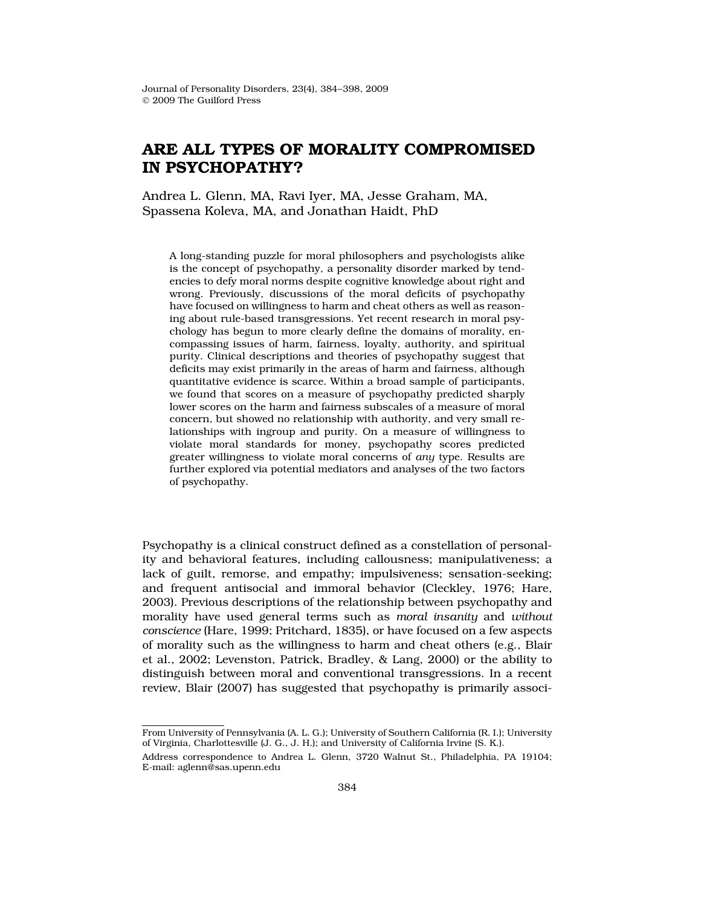# ARE ALL TYPES OF MORALITY COMPROMISED IN PSYCHOPATHY?

Andrea L. Glenn, MA, Ravi Iyer, MA, Jesse Graham, MA, Spassena Koleva, MA, and Jonathan Haidt, PhD

A long-standing puzzle for moral philosophers and psychologists alike is the concept of psychopathy, a personality disorder marked by tendencies to defy moral norms despite cognitive knowledge about right and wrong. Previously, discussions of the moral deficits of psychopathy have focused on willingness to harm and cheat others as well as reasoning about rule-based transgressions. Yet recent research in moral psychology has begun to more clearly define the domains of morality, encompassing issues of harm, fairness, loyalty, authority, and spiritual purity. Clinical descriptions and theories of psychopathy suggest that deficits may exist primarily in the areas of harm and fairness, although quantitative evidence is scarce. Within a broad sample of participants, we found that scores on a measure of psychopathy predicted sharply lower scores on the harm and fairness subscales of a measure of moral concern, but showed no relationship with authority, and very small relationships with ingroup and purity. On a measure of willingness to violate moral standards for money, psychopathy scores predicted greater willingness to violate moral concerns of *any* type. Results are further explored via potential mediators and analyses of the two factors of psychopathy.

Psychopathy is a clinical construct defined as a constellation of personality and behavioral features, including callousness; manipulativeness; a lack of guilt, remorse, and empathy; impulsiveness; sensation-seeking; and frequent antisocial and immoral behavior (Cleckley, 1976; Hare, 2003). Previous descriptions of the relationship between psychopathy and morality have used general terms such as *moral insanity* and *without conscience* (Hare, 1999; Pritchard, 1835), or have focused on a few aspects of morality such as the willingness to harm and cheat others (e.g., Blair et al., 2002; Levenston, Patrick, Bradley, & Lang, 2000) or the ability to distinguish between moral and conventional transgressions. In a recent review, Blair (2007) has suggested that psychopathy is primarily associ-

From University of Pennsylvania (A. L. G.); University of Southern California (R. I.); University of Virginia, Charlottesville (J. G., J. H.); and University of California Irvine (S. K.).

Address correspondence to Andrea L. Glenn, 3720 Walnut St., Philadelphia, PA 19104; E-mail: aglenn@sas.upenn.edu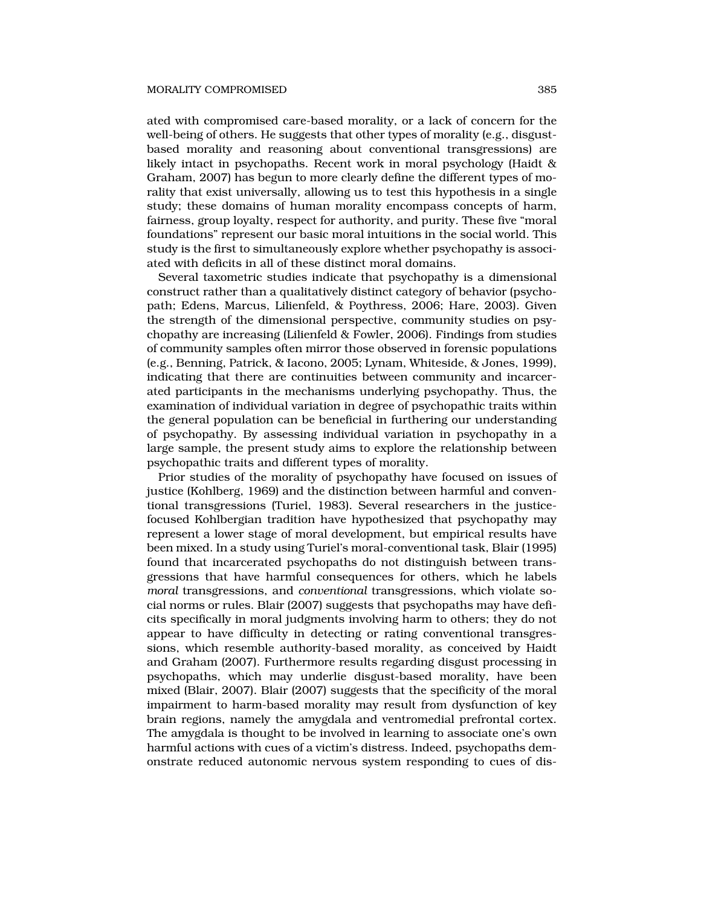ated with compromised care-based morality, or a lack of concern for the well-being of others. He suggests that other types of morality (e.g., disgustbased morality and reasoning about conventional transgressions) are likely intact in psychopaths. Recent work in moral psychology (Haidt & Graham, 2007) has begun to more clearly define the different types of morality that exist universally, allowing us to test this hypothesis in a single study; these domains of human morality encompass concepts of harm, fairness, group loyalty, respect for authority, and purity. These five "moral foundations" represent our basic moral intuitions in the social world. This study is the first to simultaneously explore whether psychopathy is associated with deficits in all of these distinct moral domains.

Several taxometric studies indicate that psychopathy is a dimensional construct rather than a qualitatively distinct category of behavior (psychopath; Edens, Marcus, Lilienfeld, & Poythress, 2006; Hare, 2003). Given the strength of the dimensional perspective, community studies on psychopathy are increasing (Lilienfeld & Fowler, 2006). Findings from studies of community samples often mirror those observed in forensic populations (e.g., Benning, Patrick, & Iacono, 2005; Lynam, Whiteside, & Jones, 1999), indicating that there are continuities between community and incarcerated participants in the mechanisms underlying psychopathy. Thus, the examination of individual variation in degree of psychopathic traits within the general population can be beneficial in furthering our understanding of psychopathy. By assessing individual variation in psychopathy in a large sample, the present study aims to explore the relationship between psychopathic traits and different types of morality.

Prior studies of the morality of psychopathy have focused on issues of justice (Kohlberg, 1969) and the distinction between harmful and conventional transgressions (Turiel, 1983). Several researchers in the justicefocused Kohlbergian tradition have hypothesized that psychopathy may represent a lower stage of moral development, but empirical results have been mixed. In a study using Turiel's moral-conventional task, Blair (1995) found that incarcerated psychopaths do not distinguish between transgressions that have harmful consequences for others, which he labels *moral* transgressions, and *conventional* transgressions, which violate social norms or rules. Blair (2007) suggests that psychopaths may have deficits specifically in moral judgments involving harm to others; they do not appear to have difficulty in detecting or rating conventional transgressions, which resemble authority-based morality, as conceived by Haidt and Graham (2007). Furthermore results regarding disgust processing in psychopaths, which may underlie disgust-based morality, have been mixed (Blair, 2007). Blair (2007) suggests that the specificity of the moral impairment to harm-based morality may result from dysfunction of key brain regions, namely the amygdala and ventromedial prefrontal cortex. The amygdala is thought to be involved in learning to associate one's own harmful actions with cues of a victim's distress. Indeed, psychopaths demonstrate reduced autonomic nervous system responding to cues of dis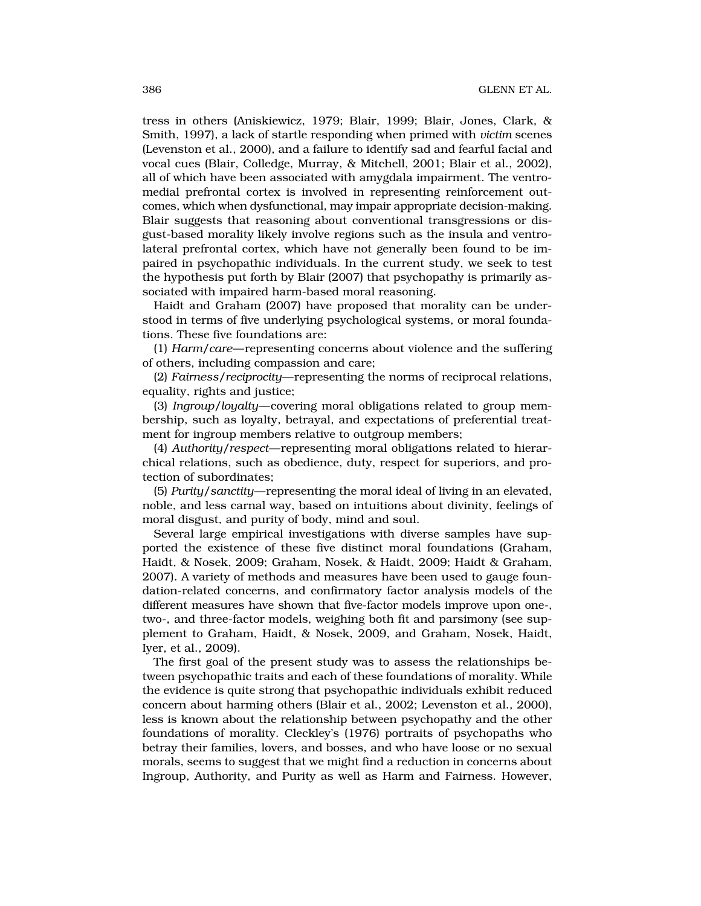tress in others (Aniskiewicz, 1979; Blair, 1999; Blair, Jones, Clark, & Smith, 1997), a lack of startle responding when primed with *victim* scenes (Levenston et al., 2000), and a failure to identify sad and fearful facial and vocal cues (Blair, Colledge, Murray, & Mitchell, 2001; Blair et al., 2002), all of which have been associated with amygdala impairment. The ventromedial prefrontal cortex is involved in representing reinforcement outcomes, which when dysfunctional, may impair appropriate decision-making. Blair suggests that reasoning about conventional transgressions or disgust-based morality likely involve regions such as the insula and ventrolateral prefrontal cortex, which have not generally been found to be impaired in psychopathic individuals. In the current study, we seek to test the hypothesis put forth by Blair (2007) that psychopathy is primarily associated with impaired harm-based moral reasoning.

Haidt and Graham (2007) have proposed that morality can be understood in terms of five underlying psychological systems, or moral foundations. These five foundations are:

(1) *Harm/care*—representing concerns about violence and the suffering of others, including compassion and care;

(2) *Fairness/reciprocity*—representing the norms of reciprocal relations, equality, rights and justice;

(3) *Ingroup/loyalty*—covering moral obligations related to group membership, such as loyalty, betrayal, and expectations of preferential treatment for ingroup members relative to outgroup members;

(4) *Authority/respect*—representing moral obligations related to hierarchical relations, such as obedience, duty, respect for superiors, and protection of subordinates;

(5) *Purity/sanctity*—representing the moral ideal of living in an elevated, noble, and less carnal way, based on intuitions about divinity, feelings of moral disgust, and purity of body, mind and soul.

Several large empirical investigations with diverse samples have supported the existence of these five distinct moral foundations (Graham, Haidt, & Nosek, 2009; Graham, Nosek, & Haidt, 2009; Haidt & Graham, 2007). A variety of methods and measures have been used to gauge foundation-related concerns, and confirmatory factor analysis models of the different measures have shown that five-factor models improve upon one-, two-, and three-factor models, weighing both fit and parsimony (see supplement to Graham, Haidt, & Nosek, 2009, and Graham, Nosek, Haidt, Iyer, et al., 2009).

The first goal of the present study was to assess the relationships between psychopathic traits and each of these foundations of morality. While the evidence is quite strong that psychopathic individuals exhibit reduced concern about harming others (Blair et al., 2002; Levenston et al., 2000), less is known about the relationship between psychopathy and the other foundations of morality. Cleckley's (1976) portraits of psychopaths who betray their families, lovers, and bosses, and who have loose or no sexual morals, seems to suggest that we might find a reduction in concerns about Ingroup, Authority, and Purity as well as Harm and Fairness. However,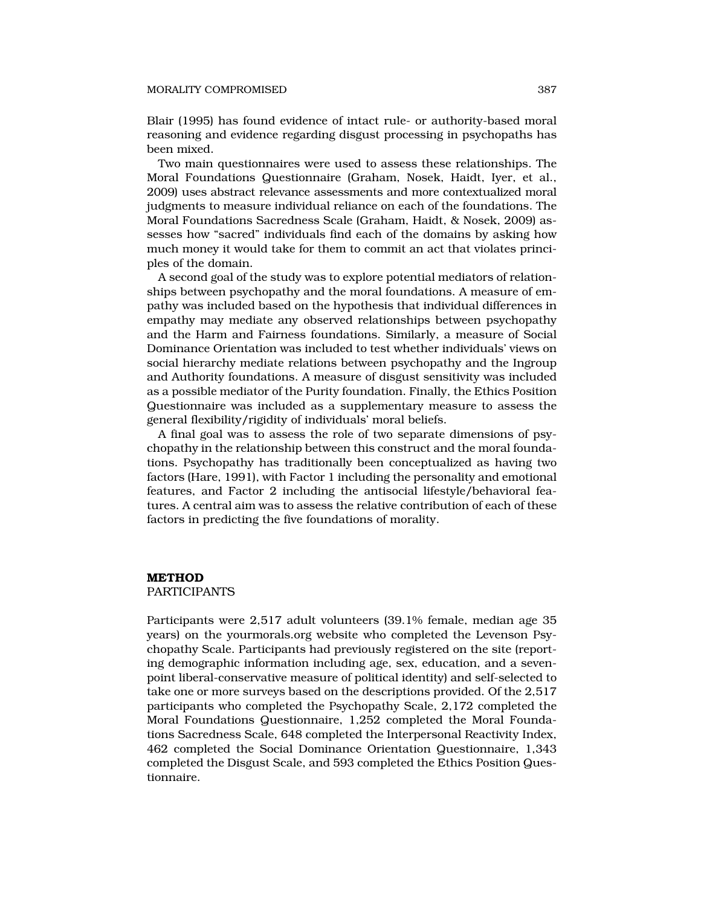## MORALITY COMPROMISED 387

Blair (1995) has found evidence of intact rule- or authority-based moral reasoning and evidence regarding disgust processing in psychopaths has been mixed.

Two main questionnaires were used to assess these relationships. The Moral Foundations Questionnaire (Graham, Nosek, Haidt, Iyer, et al., 2009) uses abstract relevance assessments and more contextualized moral judgments to measure individual reliance on each of the foundations. The Moral Foundations Sacredness Scale (Graham, Haidt, & Nosek, 2009) assesses how "sacred" individuals find each of the domains by asking how much money it would take for them to commit an act that violates principles of the domain.

A second goal of the study was to explore potential mediators of relationships between psychopathy and the moral foundations. A measure of empathy was included based on the hypothesis that individual differences in empathy may mediate any observed relationships between psychopathy and the Harm and Fairness foundations. Similarly, a measure of Social Dominance Orientation was included to test whether individuals' views on social hierarchy mediate relations between psychopathy and the Ingroup and Authority foundations. A measure of disgust sensitivity was included as a possible mediator of the Purity foundation. Finally, the Ethics Position Questionnaire was included as a supplementary measure to assess the general flexibility/rigidity of individuals' moral beliefs.

A final goal was to assess the role of two separate dimensions of psychopathy in the relationship between this construct and the moral foundations. Psychopathy has traditionally been conceptualized as having two factors (Hare, 1991), with Factor 1 including the personality and emotional features, and Factor 2 including the antisocial lifestyle/behavioral features. A central aim was to assess the relative contribution of each of these factors in predicting the five foundations of morality.

## METHOD

## PARTICIPANTS

Participants were 2,517 adult volunteers (39.1% female, median age 35 years) on the yourmorals.org website who completed the Levenson Psychopathy Scale. Participants had previously registered on the site (reporting demographic information including age, sex, education, and a sevenpoint liberal-conservative measure of political identity) and self-selected to take one or more surveys based on the descriptions provided. Of the 2,517 participants who completed the Psychopathy Scale, 2,172 completed the Moral Foundations Questionnaire, 1,252 completed the Moral Foundations Sacredness Scale, 648 completed the Interpersonal Reactivity Index, 462 completed the Social Dominance Orientation Questionnaire, 1,343 completed the Disgust Scale, and 593 completed the Ethics Position Questionnaire.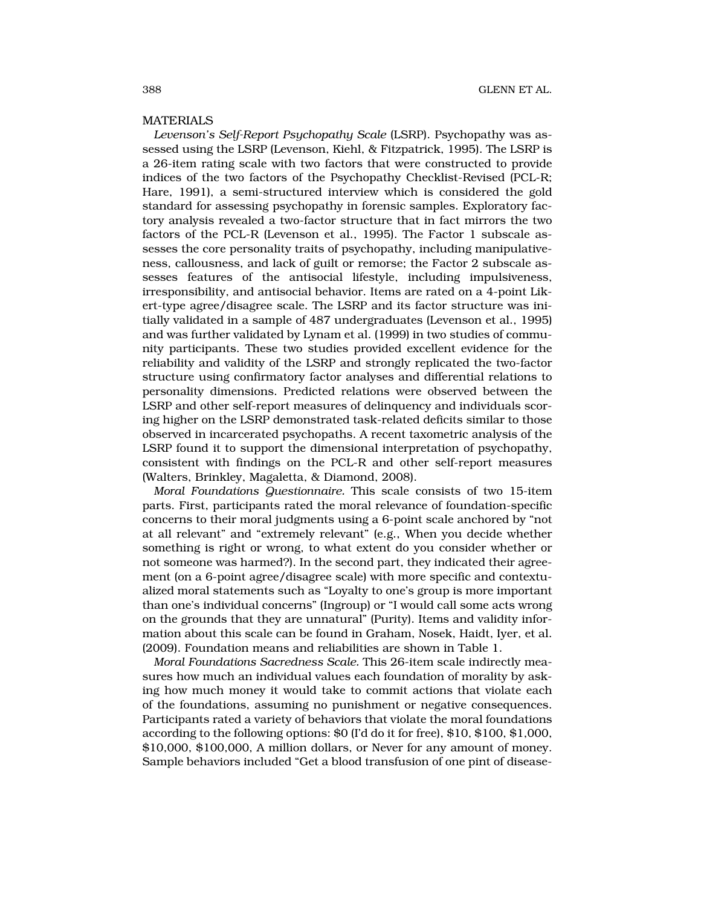## MATERIALS

*Levenson's Self-Report Psychopathy Scale* (LSRP). Psychopathy was assessed using the LSRP (Levenson, Kiehl, & Fitzpatrick, 1995). The LSRP is a 26-item rating scale with two factors that were constructed to provide indices of the two factors of the Psychopathy Checklist-Revised (PCL-R; Hare, 1991), a semi-structured interview which is considered the gold standard for assessing psychopathy in forensic samples. Exploratory factory analysis revealed a two-factor structure that in fact mirrors the two factors of the PCL-R (Levenson et al., 1995). The Factor 1 subscale assesses the core personality traits of psychopathy, including manipulativeness, callousness, and lack of guilt or remorse; the Factor 2 subscale assesses features of the antisocial lifestyle, including impulsiveness, irresponsibility, and antisocial behavior. Items are rated on a 4-point Likert-type agree/disagree scale. The LSRP and its factor structure was initially validated in a sample of 487 undergraduates (Levenson et al., 1995) and was further validated by Lynam et al. (1999) in two studies of community participants. These two studies provided excellent evidence for the reliability and validity of the LSRP and strongly replicated the two-factor structure using confirmatory factor analyses and differential relations to personality dimensions. Predicted relations were observed between the LSRP and other self-report measures of delinquency and individuals scoring higher on the LSRP demonstrated task-related deficits similar to those observed in incarcerated psychopaths. A recent taxometric analysis of the LSRP found it to support the dimensional interpretation of psychopathy, consistent with findings on the PCL-R and other self-report measures (Walters, Brinkley, Magaletta, & Diamond, 2008).

*Moral Foundations Questionnaire.* This scale consists of two 15-item parts. First, participants rated the moral relevance of foundation-specific concerns to their moral judgments using a 6-point scale anchored by "not at all relevant" and "extremely relevant" (e.g., When you decide whether something is right or wrong, to what extent do you consider whether or not someone was harmed?). In the second part, they indicated their agreement (on a 6-point agree/disagree scale) with more specific and contextualized moral statements such as "Loyalty to one's group is more important than one's individual concerns" (Ingroup) or "I would call some acts wrong on the grounds that they are unnatural" (Purity). Items and validity information about this scale can be found in Graham, Nosek, Haidt, Iyer, et al. (2009). Foundation means and reliabilities are shown in Table 1.

*Moral Foundations Sacredness Scale.* This 26-item scale indirectly measures how much an individual values each foundation of morality by asking how much money it would take to commit actions that violate each of the foundations, assuming no punishment or negative consequences. Participants rated a variety of behaviors that violate the moral foundations according to the following options: \$0 (I'd do it for free), \$10, \$100, \$1,000, \$10,000, \$100,000, A million dollars, or Never for any amount of money. Sample behaviors included "Get a blood transfusion of one pint of disease-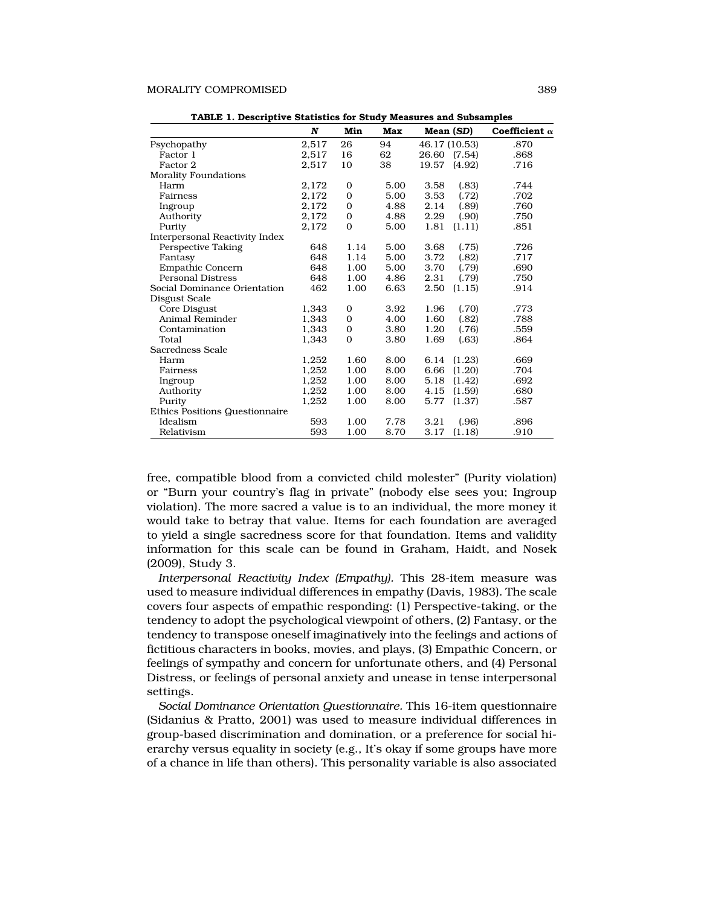#### MORALITY COMPROMISED 389

|                                | N     | Min          | Max  | Mean (SD)      | Coefficient $\alpha$ |
|--------------------------------|-------|--------------|------|----------------|----------------------|
| Psychopathy                    | 2,517 | 26           | 94   | 46.17 (10.53)  | .870                 |
| Factor 1                       | 2,517 | 16           | 62   | 26.60 (7.54)   | .868                 |
| Factor 2                       | 2,517 | 10           | 38   | 19.57 (4.92)   | .716                 |
| <b>Morality Foundations</b>    |       |              |      |                |                      |
| Harm                           | 2,172 | 0            | 5.00 | (.83)<br>3.58  | .744                 |
| Fairness                       | 2,172 | 0            | 5.00 | (.72)<br>3.53  | .702                 |
| Ingroup                        | 2,172 | 0            | 4.88 | 2.14<br>(.89)  | .760                 |
| Authority                      | 2,172 | 0            | 4.88 | 2.29<br>(.90)  | .750                 |
| Purity                         | 2,172 | $\Omega$     | 5.00 | 1.81<br>(1.11) | .851                 |
| Interpersonal Reactivity Index |       |              |      |                |                      |
| Perspective Taking             | 648   | 1.14         | 5.00 | (.75)<br>3.68  | .726                 |
| Fantasy                        | 648   | 1.14         | 5.00 | 3.72<br>(.82)  | .717                 |
| <b>Empathic Concern</b>        | 648   | 1.00         | 5.00 | (.79)<br>3.70  | .690                 |
| <b>Personal Distress</b>       | 648   | 1.00         | 4.86 | 2.31<br>(.79)  | .750                 |
| Social Dominance Orientation   | 462   | 1.00         | 6.63 | 2.50<br>(1.15) | .914                 |
| Disgust Scale                  |       |              |      |                |                      |
| Core Disgust                   | 1,343 | 0            | 3.92 | 1.96<br>(.70)  | .773                 |
| Animal Reminder                | 1,343 | 0            | 4.00 | 1.60<br>(.82)  | .788                 |
| Contamination                  | 1,343 | 0            | 3.80 | 1.20<br>(.76)  | .559                 |
| Total                          | 1,343 | $\mathbf{O}$ | 3.80 | 1.69<br>(.63)  | .864                 |
| Sacredness Scale               |       |              |      |                |                      |
| Harm                           | 1,252 | 1.60         | 8.00 | (1.23)<br>6.14 | .669                 |
| Fairness                       | 1,252 | 1.00         | 8.00 | 6.66<br>(1.20) | .704                 |
| Ingroup                        | 1,252 | 1.00         | 8.00 | 5.18<br>(1.42) | .692                 |
| Authority                      | 1,252 | 1.00         | 8.00 | 4.15(1.59)     | .680                 |
| Purity                         | 1,252 | 1.00         | 8.00 | 5.77<br>(1.37) | .587                 |
| Ethics Positions Questionnaire |       |              |      |                |                      |
| Idealism                       | 593   | 1.00         | 7.78 | 3.21<br>(.96)  | .896                 |
| Relativism                     | 593   | 1.00         | 8.70 | 3.17<br>(1.18) | .910                 |

TABLE 1. Descriptive Statistics for Study Measures and Subsamples

free, compatible blood from a convicted child molester" (Purity violation) or "Burn your country's flag in private" (nobody else sees you; Ingroup violation). The more sacred a value is to an individual, the more money it would take to betray that value. Items for each foundation are averaged to yield a single sacredness score for that foundation. Items and validity information for this scale can be found in Graham, Haidt, and Nosek (2009), Study 3.

*Interpersonal Reactivity Index (Empathy).* This 28-item measure was used to measure individual differences in empathy (Davis, 1983). The scale covers four aspects of empathic responding: (1) Perspective-taking, or the tendency to adopt the psychological viewpoint of others, (2) Fantasy, or the tendency to transpose oneself imaginatively into the feelings and actions of fictitious characters in books, movies, and plays, (3) Empathic Concern, or feelings of sympathy and concern for unfortunate others, and (4) Personal Distress, or feelings of personal anxiety and unease in tense interpersonal settings.

*Social Dominance Orientation Questionnaire.* This 16-item questionnaire (Sidanius & Pratto, 2001) was used to measure individual differences in group-based discrimination and domination, or a preference for social hierarchy versus equality in society (e.g., It's okay if some groups have more of a chance in life than others). This personality variable is also associated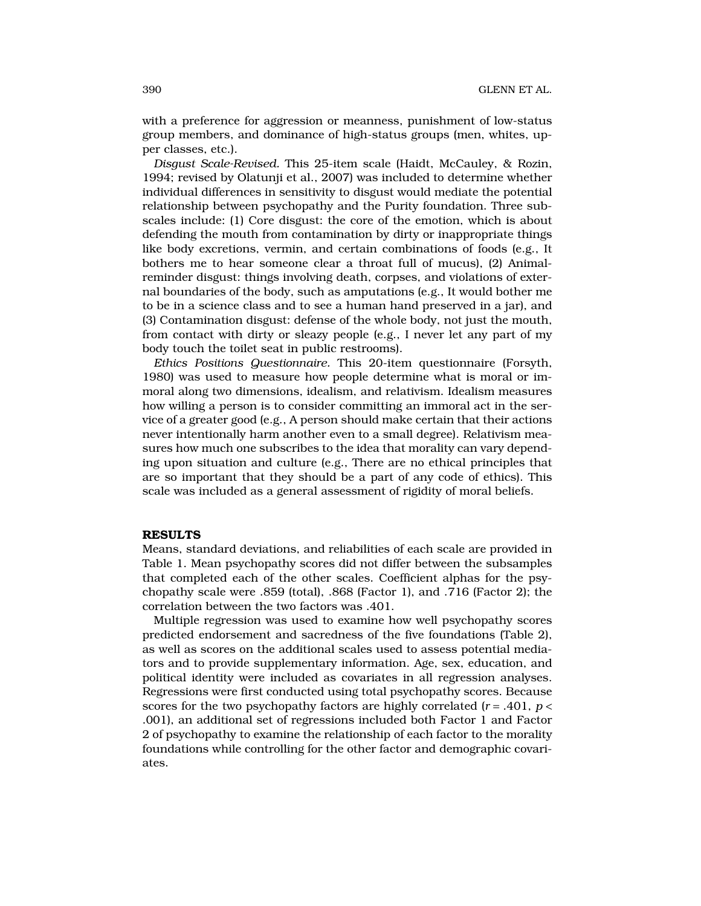with a preference for aggression or meanness, punishment of low-status group members, and dominance of high-status groups (men, whites, upper classes, etc.).

*Disgust Scale-Revised.* This 25-item scale (Haidt, McCauley, & Rozin, 1994; revised by Olatunji et al., 2007) was included to determine whether individual differences in sensitivity to disgust would mediate the potential relationship between psychopathy and the Purity foundation. Three subscales include: (1) Core disgust: the core of the emotion, which is about defending the mouth from contamination by dirty or inappropriate things like body excretions, vermin, and certain combinations of foods (e.g., It bothers me to hear someone clear a throat full of mucus), (2) Animalreminder disgust: things involving death, corpses, and violations of external boundaries of the body, such as amputations (e.g., It would bother me to be in a science class and to see a human hand preserved in a jar), and (3) Contamination disgust: defense of the whole body, not just the mouth, from contact with dirty or sleazy people (e.g., I never let any part of my body touch the toilet seat in public restrooms).

*Ethics Positions Questionnaire.* This 20-item questionnaire (Forsyth, 1980) was used to measure how people determine what is moral or immoral along two dimensions, idealism, and relativism. Idealism measures how willing a person is to consider committing an immoral act in the service of a greater good (e.g., A person should make certain that their actions never intentionally harm another even to a small degree). Relativism measures how much one subscribes to the idea that morality can vary depending upon situation and culture (e.g., There are no ethical principles that are so important that they should be a part of any code of ethics). This scale was included as a general assessment of rigidity of moral beliefs.

# RESULTS

Means, standard deviations, and reliabilities of each scale are provided in Table 1. Mean psychopathy scores did not differ between the subsamples that completed each of the other scales. Coefficient alphas for the psychopathy scale were .859 (total), .868 (Factor 1), and .716 (Factor 2); the correlation between the two factors was .401.

Multiple regression was used to examine how well psychopathy scores predicted endorsement and sacredness of the five foundations (Table 2), as well as scores on the additional scales used to assess potential mediators and to provide supplementary information. Age, sex, education, and political identity were included as covariates in all regression analyses. Regressions were first conducted using total psychopathy scores. Because scores for the two psychopathy factors are highly correlated  $(r = .401, p <$ .001), an additional set of regressions included both Factor 1 and Factor 2 of psychopathy to examine the relationship of each factor to the morality foundations while controlling for the other factor and demographic covariates.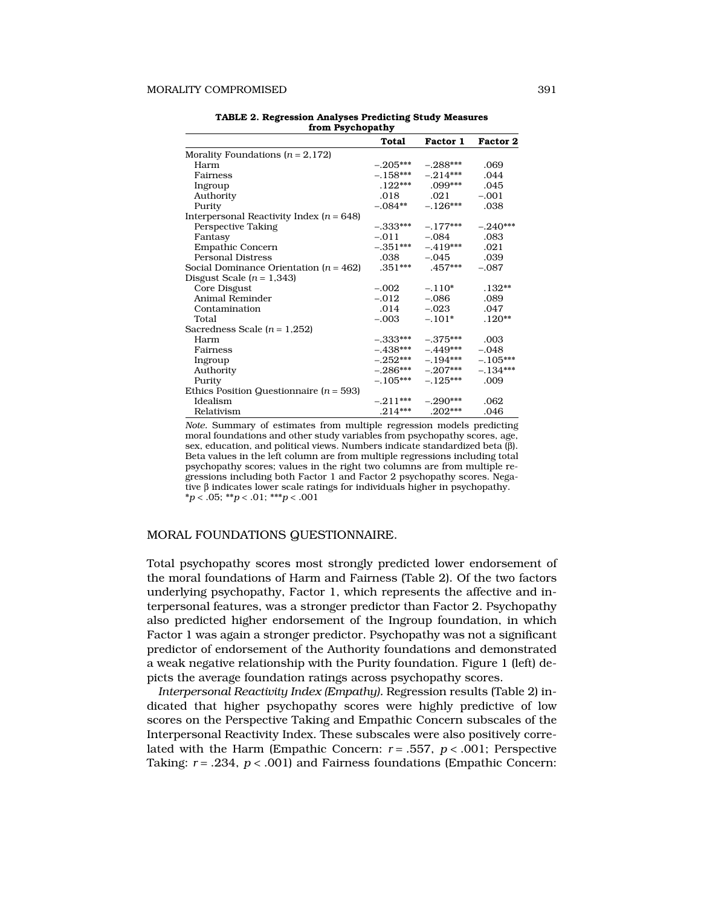|                                              | Total      | Factor 1   | Factor 2   |
|----------------------------------------------|------------|------------|------------|
| Morality Foundations $(n = 2, 172)$          |            |            |            |
| Harm                                         | $-.205***$ | $-.288***$ | .069       |
| Fairness                                     | $-.158***$ | $-.214***$ | .044       |
| Ingroup                                      | $.122***$  | .099***    | .045       |
| Authority                                    | .018       | .021       | $-.001$    |
| Purity                                       | $-.084**$  | $-.126***$ | .038       |
| Interpersonal Reactivity Index ( $n = 648$ ) |            |            |            |
| Perspective Taking                           | $-.333***$ | $-.177***$ | $-.240***$ |
| Fantasy                                      | $-.011$    | $-.084$    | .083       |
| Empathic Concern                             | $-.351***$ | $-.419***$ | .021       |
| <b>Personal Distress</b>                     | .038       | $-.045$    | .039       |
| Social Dominance Orientation ( $n = 462$ )   | $.351***$  | $.457***$  | $-.087$    |
| Disgust Scale $(n = 1,343)$                  |            |            |            |
| Core Disgust                                 | $-.002$    | $-.110*$   | $.132**$   |
| Animal Reminder                              | $-.012$    | $-.086$    | .089       |
| Contamination                                | .014       | $-.023$    | .047       |
| Total                                        | $-.003$    | $-.101*$   | $.120**$   |
| Sacredness Scale $(n = 1.252)$               |            |            |            |
| Harm                                         | $-.333***$ | $-.375***$ | .003       |
| Fairness                                     | $-.438***$ | $-.449***$ | $-.048$    |
| Ingroup                                      | $-.252***$ | $-.194***$ | $-.105***$ |
| Authority                                    | $-.286***$ | $-.207***$ | $-.134***$ |
| Purity                                       | $-.105***$ | $-.125***$ | .009       |
| Ethics Position Questionnaire ( $n = 593$ )  |            |            |            |
| Idealism                                     | $-.211***$ | $-.290***$ | .062       |
| Relativism                                   | $.214***$  | $.202***$  | .046       |

TABLE 2. Regression Analyses Predicting Study Measures from Psychopathy

*Note.* Summary of estimates from multiple regression models predicting moral foundations and other study variables from psychopathy scores, age, sex, education, and political views. Numbers indicate standardized beta (β). Beta values in the left column are from multiple regressions including total psychopathy scores; values in the right two columns are from multiple regressions including both Factor 1 and Factor 2 psychopathy scores. Negative β indicates lower scale ratings for individuals higher in psychopathy. \**p* < .05; \*\**p* < .01; \*\*\**p* < .001

# MORAL FOUNDATIONS QUESTIONNAIRE.

Total psychopathy scores most strongly predicted lower endorsement of the moral foundations of Harm and Fairness (Table 2). Of the two factors underlying psychopathy, Factor 1, which represents the affective and interpersonal features, was a stronger predictor than Factor 2. Psychopathy also predicted higher endorsement of the Ingroup foundation, in which Factor 1 was again a stronger predictor. Psychopathy was not a significant predictor of endorsement of the Authority foundations and demonstrated a weak negative relationship with the Purity foundation. Figure 1 (left) depicts the average foundation ratings across psychopathy scores.

*Interpersonal Reactivity Index (Empathy).* Regression results (Table 2) indicated that higher psychopathy scores were highly predictive of low scores on the Perspective Taking and Empathic Concern subscales of the Interpersonal Reactivity Index. These subscales were also positively correlated with the Harm (Empathic Concern: *r* = .557, *p* < .001; Perspective Taking: *r* = .234, *p* < .001) and Fairness foundations (Empathic Concern: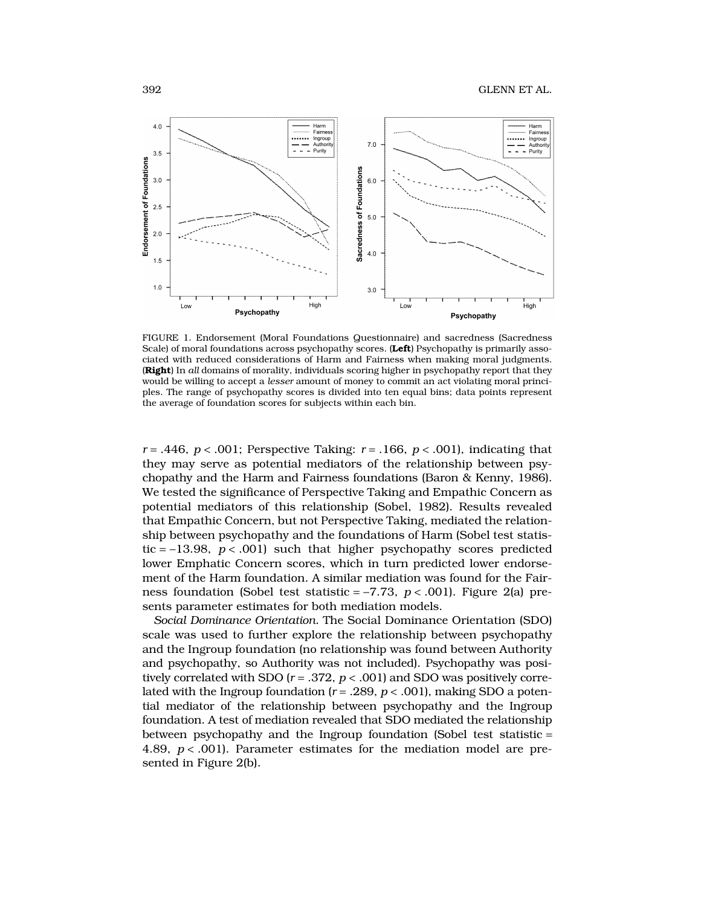

FIGURE 1. Endorsement (Moral Foundations Questionnaire) and sacredness (Sacredness Scale) of moral foundations across psychopathy scores. (Left) Psychopathy is primarily associated with reduced considerations of Harm and Fairness when making moral judgments. (Right) In *all* domains of morality, individuals scoring higher in psychopathy report that they would be willing to accept a *lesser* amount of money to commit an act violating moral principles. The range of psychopathy scores is divided into ten equal bins; data points represent the average of foundation scores for subjects within each bin.

*r* = .446, *p* < .001; Perspective Taking: *r* = .166, *p* < .001), indicating that they may serve as potential mediators of the relationship between psychopathy and the Harm and Fairness foundations (Baron & Kenny, 1986). We tested the significance of Perspective Taking and Empathic Concern as potential mediators of this relationship (Sobel, 1982). Results revealed that Empathic Concern, but not Perspective Taking, mediated the relationship between psychopathy and the foundations of Harm (Sobel test statistic = −13.98, *p* < .001) such that higher psychopathy scores predicted lower Emphatic Concern scores, which in turn predicted lower endorsement of the Harm foundation. A similar mediation was found for the Fairness foundation (Sobel test statistic = −7.73, *p* < .001). Figure 2(a) presents parameter estimates for both mediation models.

*Social Dominance Orientation.* The Social Dominance Orientation (SDO) scale was used to further explore the relationship between psychopathy and the Ingroup foundation (no relationship was found between Authority and psychopathy, so Authority was not included). Psychopathy was positively correlated with SDO  $(r = .372, p < .001)$  and SDO was positively correlated with the Ingroup foundation  $(r = .289, p < .001)$ , making SDO a potential mediator of the relationship between psychopathy and the Ingroup foundation. A test of mediation revealed that SDO mediated the relationship between psychopathy and the Ingroup foundation (Sobel test statistic  $=$ 4.89, *p* < .001). Parameter estimates for the mediation model are presented in Figure 2(b).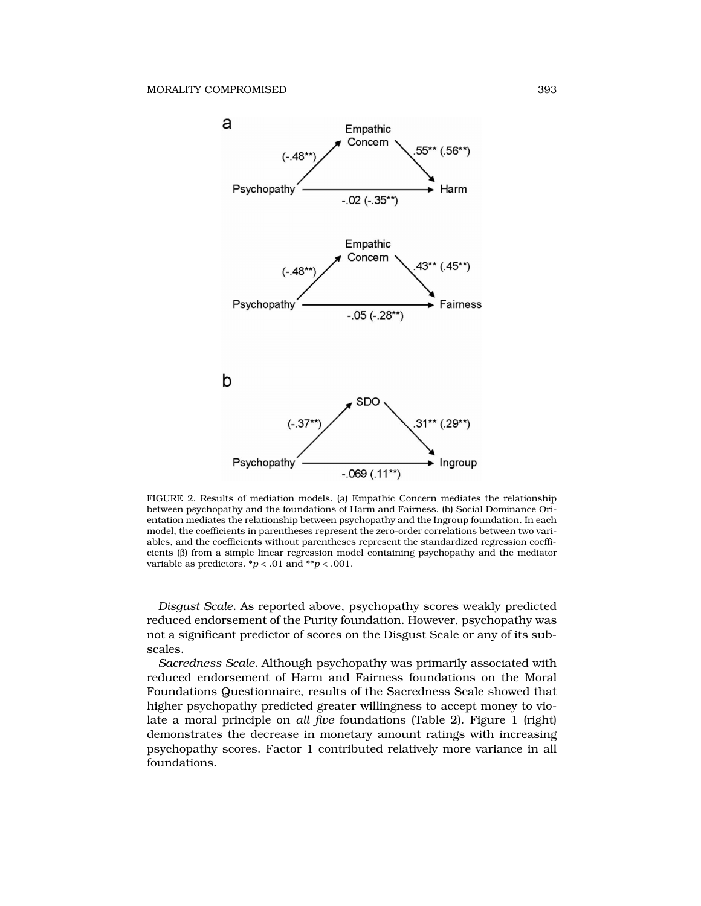

FIGURE 2. Results of mediation models. (a) Empathic Concern mediates the relationship between psychopathy and the foundations of Harm and Fairness. (b) Social Dominance Orientation mediates the relationship between psychopathy and the Ingroup foundation. In each model, the coefficients in parentheses represent the zero-order correlations between two variables, and the coefficients without parentheses represent the standardized regression coefficients (β) from a simple linear regression model containing psychopathy and the mediator variable as predictors.  $\binom{*}{p}$  < .01 and  $\binom{**}{p}$  < .001.

*Disgust Scale.* As reported above, psychopathy scores weakly predicted reduced endorsement of the Purity foundation. However, psychopathy was not a significant predictor of scores on the Disgust Scale or any of its subscales.

*Sacredness Scale.* Although psychopathy was primarily associated with reduced endorsement of Harm and Fairness foundations on the Moral Foundations Questionnaire, results of the Sacredness Scale showed that higher psychopathy predicted greater willingness to accept money to violate a moral principle on *all five* foundations (Table 2). Figure 1 (right) demonstrates the decrease in monetary amount ratings with increasing psychopathy scores. Factor 1 contributed relatively more variance in all foundations.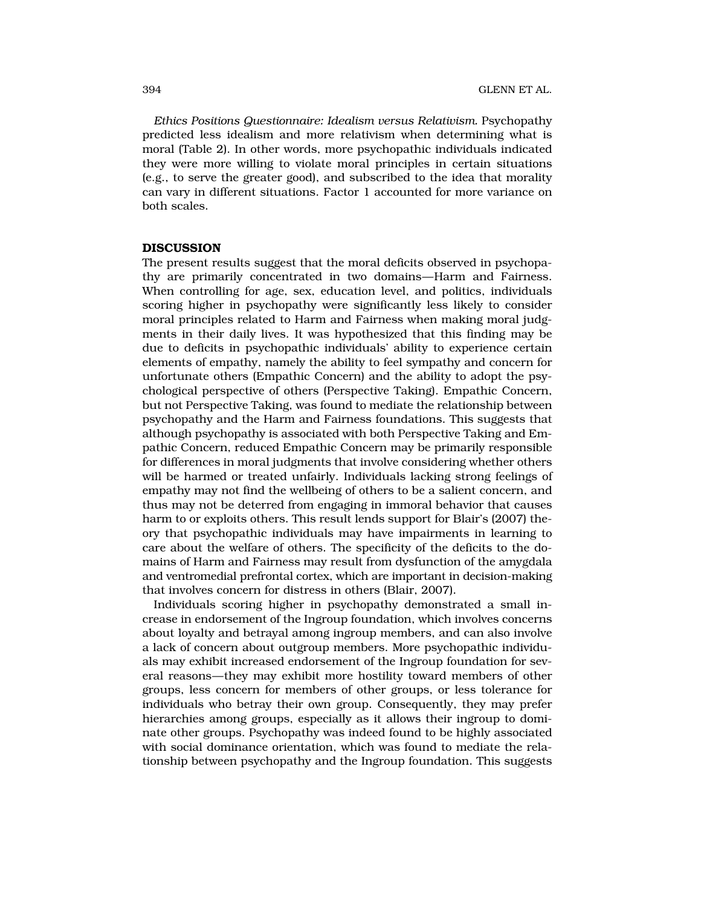*Ethics Positions Questionnaire: Idealism versus Relativism.* Psychopathy predicted less idealism and more relativism when determining what is moral (Table 2). In other words, more psychopathic individuals indicated they were more willing to violate moral principles in certain situations (e.g., to serve the greater good), and subscribed to the idea that morality can vary in different situations. Factor 1 accounted for more variance on both scales.

## **DISCUSSION**

The present results suggest that the moral deficits observed in psychopathy are primarily concentrated in two domains—Harm and Fairness. When controlling for age, sex, education level, and politics, individuals scoring higher in psychopathy were significantly less likely to consider moral principles related to Harm and Fairness when making moral judgments in their daily lives. It was hypothesized that this finding may be due to deficits in psychopathic individuals' ability to experience certain elements of empathy, namely the ability to feel sympathy and concern for unfortunate others (Empathic Concern) and the ability to adopt the psychological perspective of others (Perspective Taking). Empathic Concern, but not Perspective Taking, was found to mediate the relationship between psychopathy and the Harm and Fairness foundations. This suggests that although psychopathy is associated with both Perspective Taking and Empathic Concern, reduced Empathic Concern may be primarily responsible for differences in moral judgments that involve considering whether others will be harmed or treated unfairly. Individuals lacking strong feelings of empathy may not find the wellbeing of others to be a salient concern, and thus may not be deterred from engaging in immoral behavior that causes harm to or exploits others. This result lends support for Blair's (2007) theory that psychopathic individuals may have impairments in learning to care about the welfare of others. The specificity of the deficits to the domains of Harm and Fairness may result from dysfunction of the amygdala and ventromedial prefrontal cortex, which are important in decision-making that involves concern for distress in others (Blair, 2007).

Individuals scoring higher in psychopathy demonstrated a small increase in endorsement of the Ingroup foundation, which involves concerns about loyalty and betrayal among ingroup members, and can also involve a lack of concern about outgroup members. More psychopathic individuals may exhibit increased endorsement of the Ingroup foundation for several reasons—they may exhibit more hostility toward members of other groups, less concern for members of other groups, or less tolerance for individuals who betray their own group. Consequently, they may prefer hierarchies among groups, especially as it allows their ingroup to dominate other groups. Psychopathy was indeed found to be highly associated with social dominance orientation, which was found to mediate the relationship between psychopathy and the Ingroup foundation. This suggests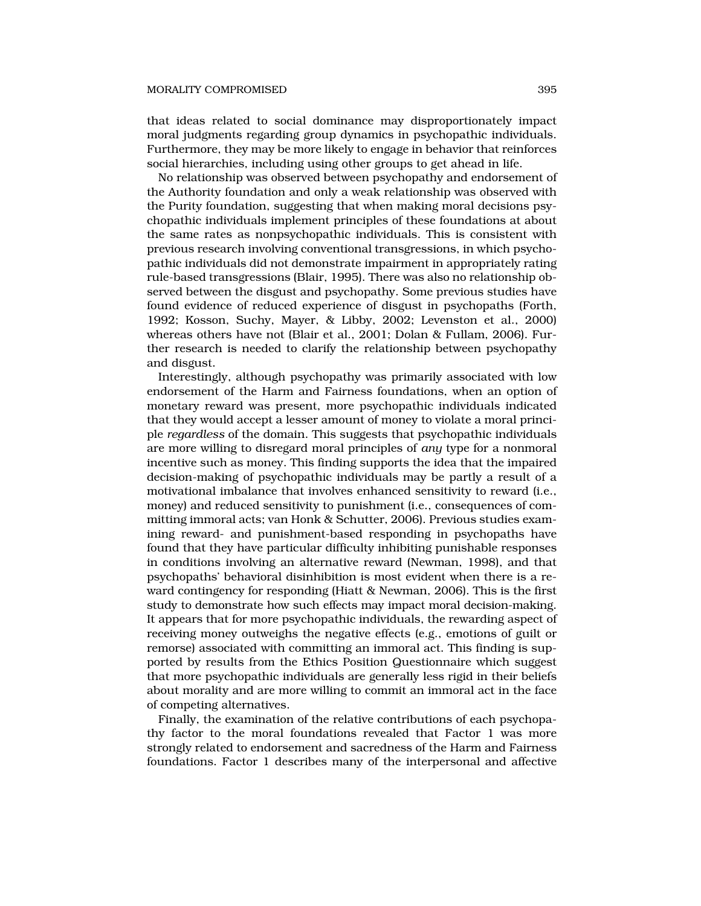#### MORALITY COMPROMISED 395

that ideas related to social dominance may disproportionately impact moral judgments regarding group dynamics in psychopathic individuals. Furthermore, they may be more likely to engage in behavior that reinforces social hierarchies, including using other groups to get ahead in life.

No relationship was observed between psychopathy and endorsement of the Authority foundation and only a weak relationship was observed with the Purity foundation, suggesting that when making moral decisions psychopathic individuals implement principles of these foundations at about the same rates as nonpsychopathic individuals. This is consistent with previous research involving conventional transgressions, in which psychopathic individuals did not demonstrate impairment in appropriately rating rule-based transgressions (Blair, 1995). There was also no relationship observed between the disgust and psychopathy. Some previous studies have found evidence of reduced experience of disgust in psychopaths (Forth, 1992; Kosson, Suchy, Mayer, & Libby, 2002; Levenston et al., 2000) whereas others have not (Blair et al., 2001; Dolan & Fullam, 2006). Further research is needed to clarify the relationship between psychopathy and disgust.

Interestingly, although psychopathy was primarily associated with low endorsement of the Harm and Fairness foundations, when an option of monetary reward was present, more psychopathic individuals indicated that they would accept a lesser amount of money to violate a moral principle *regardless* of the domain. This suggests that psychopathic individuals are more willing to disregard moral principles of *any* type for a nonmoral incentive such as money. This finding supports the idea that the impaired decision-making of psychopathic individuals may be partly a result of a motivational imbalance that involves enhanced sensitivity to reward (i.e., money) and reduced sensitivity to punishment (i.e., consequences of committing immoral acts; van Honk & Schutter, 2006). Previous studies examining reward- and punishment-based responding in psychopaths have found that they have particular difficulty inhibiting punishable responses in conditions involving an alternative reward (Newman, 1998), and that psychopaths' behavioral disinhibition is most evident when there is a reward contingency for responding (Hiatt & Newman, 2006). This is the first study to demonstrate how such effects may impact moral decision-making. It appears that for more psychopathic individuals, the rewarding aspect of receiving money outweighs the negative effects (e.g., emotions of guilt or remorse) associated with committing an immoral act. This finding is supported by results from the Ethics Position Questionnaire which suggest that more psychopathic individuals are generally less rigid in their beliefs about morality and are more willing to commit an immoral act in the face of competing alternatives.

Finally, the examination of the relative contributions of each psychopathy factor to the moral foundations revealed that Factor 1 was more strongly related to endorsement and sacredness of the Harm and Fairness foundations. Factor 1 describes many of the interpersonal and affective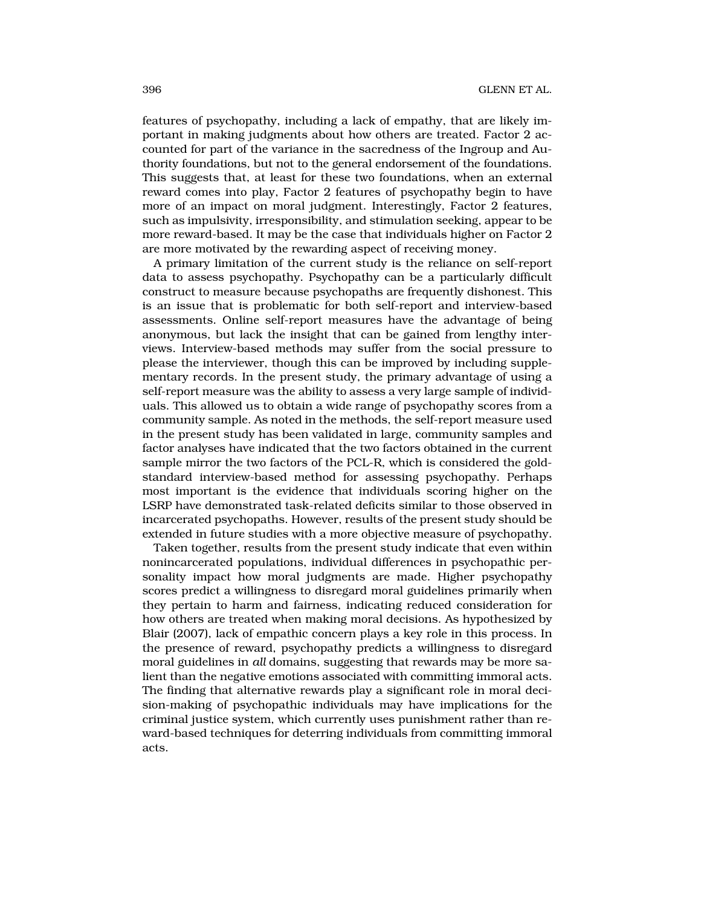features of psychopathy, including a lack of empathy, that are likely important in making judgments about how others are treated. Factor 2 accounted for part of the variance in the sacredness of the Ingroup and Authority foundations, but not to the general endorsement of the foundations. This suggests that, at least for these two foundations, when an external reward comes into play, Factor 2 features of psychopathy begin to have more of an impact on moral judgment. Interestingly, Factor 2 features, such as impulsivity, irresponsibility, and stimulation seeking, appear to be more reward-based. It may be the case that individuals higher on Factor 2 are more motivated by the rewarding aspect of receiving money.

A primary limitation of the current study is the reliance on self-report data to assess psychopathy. Psychopathy can be a particularly difficult construct to measure because psychopaths are frequently dishonest. This is an issue that is problematic for both self-report and interview-based assessments. Online self-report measures have the advantage of being anonymous, but lack the insight that can be gained from lengthy interviews. Interview-based methods may suffer from the social pressure to please the interviewer, though this can be improved by including supplementary records. In the present study, the primary advantage of using a self-report measure was the ability to assess a very large sample of individuals. This allowed us to obtain a wide range of psychopathy scores from a community sample. As noted in the methods, the self-report measure used in the present study has been validated in large, community samples and factor analyses have indicated that the two factors obtained in the current sample mirror the two factors of the PCL-R, which is considered the goldstandard interview-based method for assessing psychopathy. Perhaps most important is the evidence that individuals scoring higher on the LSRP have demonstrated task-related deficits similar to those observed in incarcerated psychopaths. However, results of the present study should be extended in future studies with a more objective measure of psychopathy.

Taken together, results from the present study indicate that even within nonincarcerated populations, individual differences in psychopathic personality impact how moral judgments are made. Higher psychopathy scores predict a willingness to disregard moral guidelines primarily when they pertain to harm and fairness, indicating reduced consideration for how others are treated when making moral decisions. As hypothesized by Blair (2007), lack of empathic concern plays a key role in this process. In the presence of reward, psychopathy predicts a willingness to disregard moral guidelines in *all* domains, suggesting that rewards may be more salient than the negative emotions associated with committing immoral acts. The finding that alternative rewards play a significant role in moral decision-making of psychopathic individuals may have implications for the criminal justice system, which currently uses punishment rather than reward-based techniques for deterring individuals from committing immoral acts.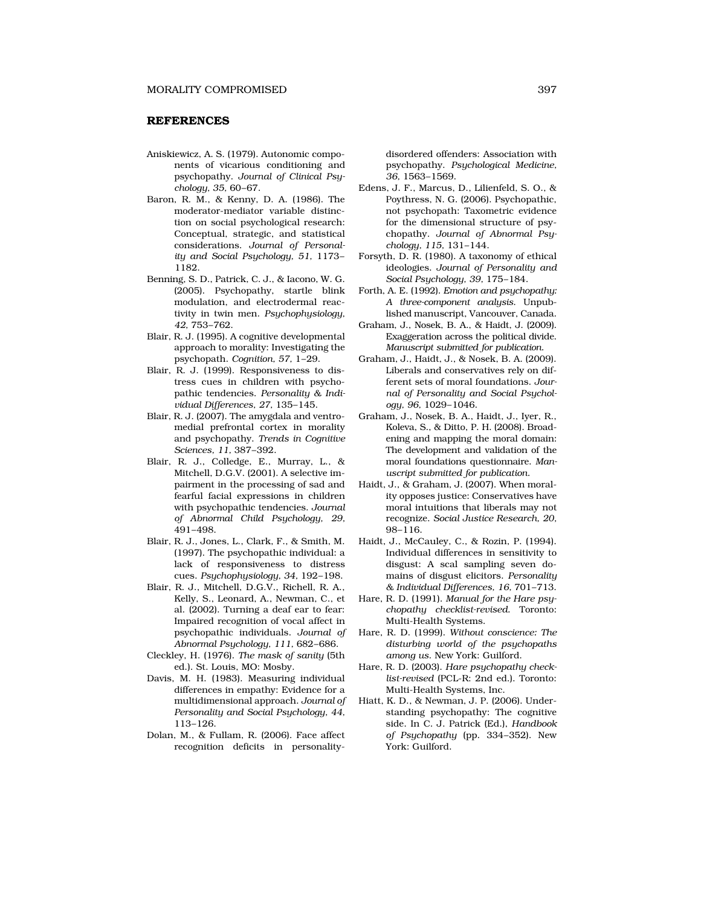## REFERENCES

- Aniskiewicz, A. S. (1979). Autonomic compo- disordered offenders: Association with nents of vicarious conditioning and psychopathy. *Psychological Medicine,* psychopathy. *Journal of Clinical Psy- 36,* 1563–1569.
- considerations. *Journal of Personal- chology, 115,* 131–144. *ity and Social Psychology, 51,* 1173– Forsyth, D. R. (1980). A taxonomy of ethical
- (2005). Psychopathy, startle blink Forth, A. E. (1992). *Emotion and psychopathy: 42,* 753–762. Graham, J., Nosek, B. A., & Haidt, J. (2009).
- 
- *vidual Differences, 27,* 135–145. *ogy, 96,* 1029–1046.
- Blair, R. J. (2007). The amygdala and ventro- Graham, J., Nosek, B. A., Haidt, J., Iyer, R.,
- Mitchell, D.G.V. (2001). A selective im- *uscript submitted for publication*. pairment in the processing of sad and Haidt, J., & Graham, J. (2007). When moral-491–498. 98–116.
- Blair, R. J., Jones, L., Clark, F., & Smith, M. Haidt, J., McCauley, C., & Rozin, P. (1994).
- Blair, R. J., Mitchell, D.G.V., Richell, R. A., Kelly, S., Leonard, A., Newman, C., et Hare, R. D. (1991). *Manual for the Hare psy-*Impaired recognition of vocal affect in Multi-Health Systems.
- Cleckley, H. (1976). *The mask of sanity* (5th *among us*. New York: Guilford.
- differences in empathy: Evidence for a Multi-Health Systems, Inc. multidimensional approach. *Journal of* Hiatt, K. D., & Newman, J. P. (2006). Under-
- recognition deficits in personality- York: Guilford.

- *chology, 35,* 60–67. Edens, J. F., Marcus, D., Lilienfeld, S. O., & Baron, R. M., & Kenny, D. A. (1986). The Poythress, N. G. (2006). Psychopathic, moderator-mediator variable distinc- not psychopath: Taxometric evidence tion on social psychological research: for the dimensional structure of psy-Conceptual, strategic, and statistical chopathy. *Journal of Abnormal Psy-*
- 1182. ideologies. *Journal of Personality and* Benning, S. D., Patrick, C. J., & Iacono, W. G. *Social Psychology, 39,* 175–184.
	- modulation, and electrodermal reac- *A three-component analysis*. Unpubtivity in twin men. *Psychophysiology,* lished manuscript, Vancouver, Canada.
- Blair, R. J. (1995). A cognitive developmental Exaggeration across the political divide. approach to morality: Investigating the *Manuscript submitted for publication*.
- psychopath. *Cognition, 57,* 1–29. Graham, J., Haidt, J., & Nosek, B. A. (2009). Blair, R. J. (1999). Responsiveness to dis- Liberals and conservatives rely on diftress cues in children with psycho- ferent sets of moral foundations. *Jour*pathic tendencies. *Personality & Indi- nal of Personality and Social Psychol-*
- medial prefrontal cortex in morality Koleva, S., & Ditto, P. H. (2008). Broadand psychopathy. *Trends in Cognitive* ening and mapping the moral domain: *Sciences, 11,* 387–392. The development and validation of the Blair, R. J., Colledge, E., Murray, L., & moral foundations questionnaire. *Man*
	- fearful facial expressions in children ity opposes justice: Conservatives have with psychopathic tendencies. *Journal* moral intuitions that liberals may not *of Abnormal Child Psychology, 29,* recognize. *Social Justice Research, 20,*
	- (1997). The psychopathic individual: a Individual differences in sensitivity to lack of responsiveness to distress disgust: A scal sampling seven docues. *Psychophysiology, 34,* 192–198. mains of disgust elicitors. *Personality*
	- al. (2002). Turning a deaf ear to fear: *chopathy checklist-revised*. Toronto:
	- psychopathic individuals. *Journal of* Hare, R. D. (1999). *Without conscience: The Abnormal Psychology, 111,* 682–686. *disturbing world of the psychopaths*
- ed.). St. Louis, MO: Mosby. Hare, R. D. (2003). *Hare psychopathy check-*Davis, M. H. (1983). Measuring individual *list-revised* (PCL-R: 2nd ed.). Toronto:
- *Personality and Social Psychology, 44,* standing psychopathy: The cognitive side. In C. J. Patrick (Ed.), *Handbook* Dolan, M., & Fullam, R. (2006). Face affect *of Psychopathy* (pp. 334–352). New